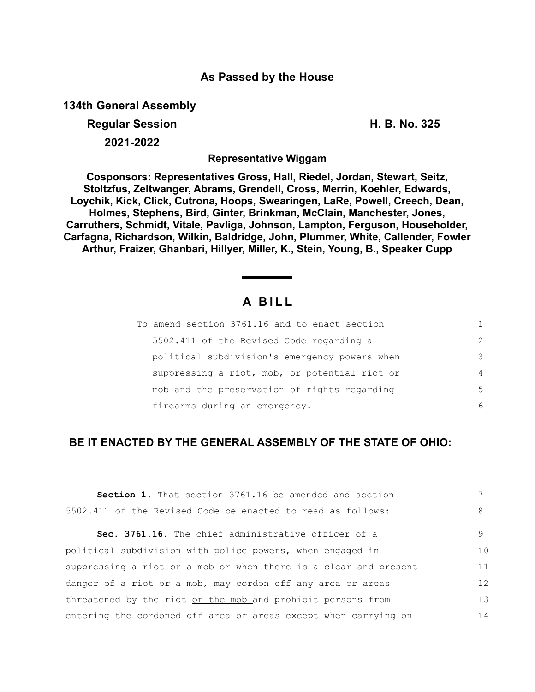## **As Passed by the House**

**134th General Assembly**

**Regular Session H. B. No. 325 2021-2022**

**Representative Wiggam**

**Cosponsors: Representatives Gross, Hall, Riedel, Jordan, Stewart, Seitz, Stoltzfus, Zeltwanger, Abrams, Grendell, Cross, Merrin, Koehler, Edwards, Loychik, Kick, Click, Cutrona, Hoops, Swearingen, LaRe, Powell, Creech, Dean, Holmes, Stephens, Bird, Ginter, Brinkman, McClain, Manchester, Jones, Carruthers, Schmidt, Vitale, Pavliga, Johnson, Lampton, Ferguson, Householder, Carfagna, Richardson, Wilkin, Baldridge, John, Plummer, White, Callender, Fowler Arthur, Fraizer, Ghanbari, Hillyer, Miller, K., Stein, Young, B., Speaker Cupp**

## **A B I L L**

| To amend section 3761.16 and to enact section | 1.            |
|-----------------------------------------------|---------------|
| 5502.411 of the Revised Code regarding a      | $\mathcal{L}$ |
| political subdivision's emergency powers when | 3             |
| suppressing a riot, mob, or potential riot or | 4             |
| mob and the preservation of rights regarding  | 5             |
| firearms during an emergency.                 | 6             |

## **BE IT ENACTED BY THE GENERAL ASSEMBLY OF THE STATE OF OHIO:**

| Section 1. That section 3761.16 be amended and section           |    |
|------------------------------------------------------------------|----|
| 5502.411 of the Revised Code be enacted to read as follows:      | 8  |
| Sec. 3761.16. The chief administrative officer of a              | 9  |
| political subdivision with police powers, when engaged in        | 10 |
| suppressing a riot or a mob or when there is a clear and present | 11 |
| danger of a riot or a mob, may cordon off any area or areas      | 12 |
| threatened by the riot or the mob and prohibit persons from      | 13 |
| entering the cordoned off area or areas except when carrying on  | 14 |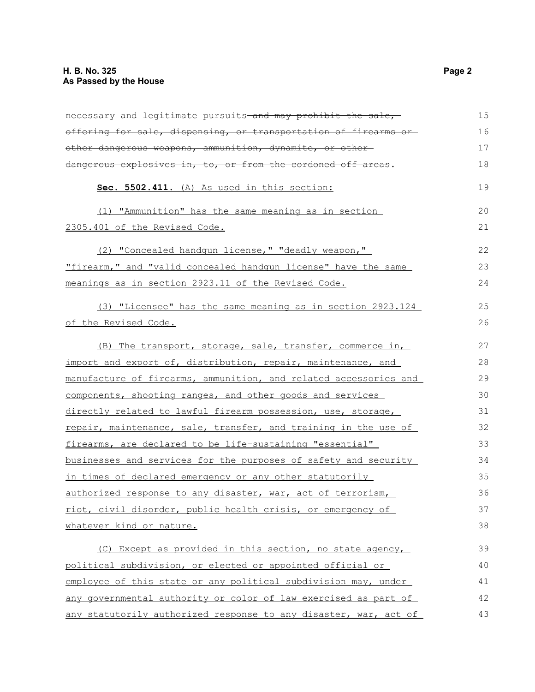| necessary and legitimate pursuits-and may prohibit the sale,     | 15 |
|------------------------------------------------------------------|----|
| offering for sale, dispensing, or transportation of firearms or  | 16 |
| other dangerous weapons, ammunition, dynamite, or other-         | 17 |
| dangerous explosives in, to, or from the cordoned off areas.     | 18 |
| Sec. 5502.411. (A) As used in this section:                      | 19 |
| (1) "Ammunition" has the same meaning as in section              | 20 |
| 2305.401 of the Revised Code.                                    | 21 |
| (2) "Concealed handgun license," "deadly weapon,"                | 22 |
| "firearm," and "valid concealed handgun license" have the same   | 23 |
| meanings as in section 2923.11 of the Revised Code.              | 24 |
| (3) "Licensee" has the same meaning as in section 2923.124       | 25 |
| of the Revised Code.                                             | 26 |
| (B) The transport, storage, sale, transfer, commerce in,         | 27 |
| import and export of, distribution, repair, maintenance, and     | 28 |
| manufacture of firearms, ammunition, and related accessories and | 29 |
| components, shooting ranges, and other goods and services        | 30 |
| directly related to lawful firearm possession, use, storage,     | 31 |
| repair, maintenance, sale, transfer, and training in the use of  | 32 |
| firearms, are declared to be life-sustaining "essential"         | 33 |
| businesses and services for the purposes of safety and security  | 34 |
| in times of declared emergency or any other statutorily          | 35 |
| authorized response to any disaster, war, act of terrorism,      | 36 |
| riot, civil disorder, public health crisis, or emergency of      | 37 |
| whatever kind or nature.                                         | 38 |
| (C) Except as provided in this section, no state agency,         | 39 |
| political subdivision, or elected or appointed official or       | 40 |
| employee of this state or any political subdivision may, under   | 41 |
| any governmental authority or color of law exercised as part of  | 42 |
| any statutorily authorized response to any disaster, war, act of | 43 |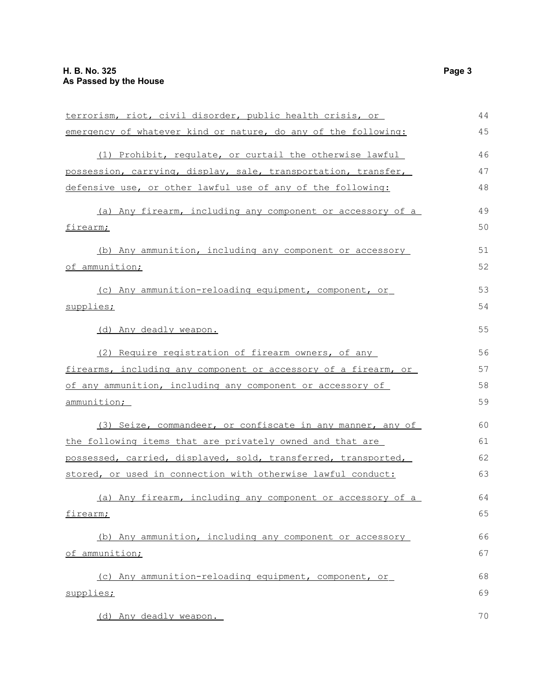| terrorism, riot, civil disorder, public health crisis, or       | 44 |
|-----------------------------------------------------------------|----|
| emergency of whatever kind or nature, do any of the following:  | 45 |
| (1) Prohibit, requlate, or curtail the otherwise lawful         | 46 |
| possession, carrying, display, sale, transportation, transfer,  | 47 |
| defensive use, or other lawful use of any of the following:     | 48 |
| (a) Any firearm, including any component or accessory of a      | 49 |
| firearm;                                                        | 50 |
| (b) Any ammunition, including any component or accessory        | 51 |
| of ammunition;                                                  | 52 |
| (c) Any ammunition-reloading equipment, component, or           | 53 |
| supplies;                                                       | 54 |
| (d) Any deadly weapon.                                          | 55 |
| (2) Require registration of firearm owners, of any              | 56 |
| firearms, including any component or accessory of a firearm, or | 57 |
| of any ammunition, including any component or accessory of      | 58 |
| ammunition;                                                     | 59 |
| (3) Seize, commandeer, or confiscate in any manner, any of      | 60 |
| the following items that are privately owned and that are       | 61 |
| possessed, carried, displayed, sold, transferred, transported,  | 62 |
| stored, or used in connection with otherwise lawful conduct:    | 63 |
| (a) Any firearm, including any component or accessory of a      | 64 |
| firearm;                                                        | 65 |
| (b) Any ammunition, including any component or accessory        | 66 |
| of ammunition;                                                  | 67 |
| (c) Any ammunition-reloading equipment, component, or           | 68 |
| supplies;                                                       | 69 |
| (d) Any deadly weapon.                                          | 70 |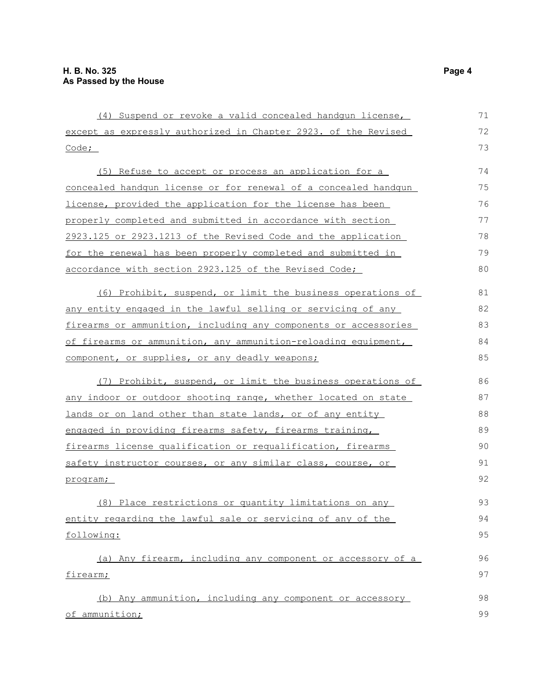(4) Suspend or revoke a valid concealed handgun license, except as expressly authorized in Chapter 2923. of the Revised Code; (5) Refuse to accept or process an application for a concealed handgun license or for renewal of a concealed handgun license, provided the application for the license has been properly completed and submitted in accordance with section 2923.125 or 2923.1213 of the Revised Code and the application for the renewal has been properly completed and submitted in accordance with section 2923.125 of the Revised Code; (6) Prohibit, suspend, or limit the business operations of any entity engaged in the lawful selling or servicing of any firearms or ammunition, including any components or accessories of firearms or ammunition, any ammunition-reloading equipment, component, or supplies, or any deadly weapons; (7) Prohibit, suspend, or limit the business operations of any indoor or outdoor shooting range, whether located on state lands or on land other than state lands, or of any entity engaged in providing firearms safety, firearms training, firearms license qualification or requalification, firearms safety instructor courses, or any similar class, course, or program; (8) Place restrictions or quantity limitations on any entity regarding the lawful sale or servicing of any of the following: (a) Any firearm, including any component or accessory of a firearm; (b) Any ammunition, including any component or accessory of ammunition; 71 72 73 74 75 76 77 78 79 80 81 82 83 84 85 86 87 88 89 90 91 92 93 94 95 96 97 98 99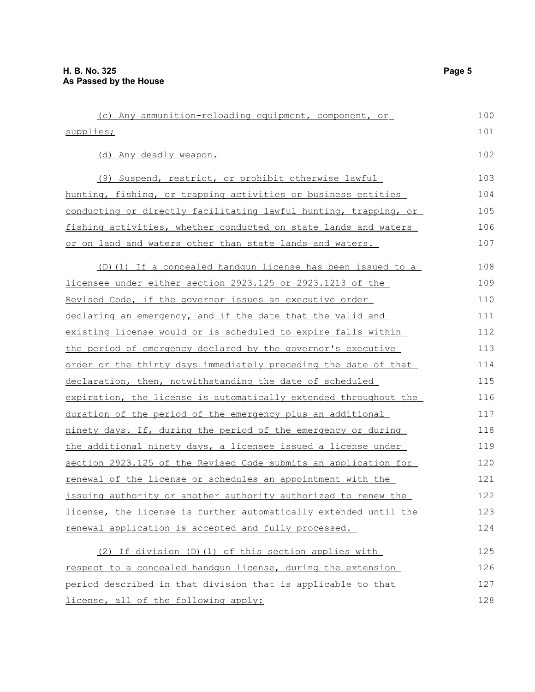| (c) Any ammunition-reloading equipment, component, or                  | 100 |
|------------------------------------------------------------------------|-----|
| supplies;                                                              | 101 |
| (d) Any deadly weapon.                                                 | 102 |
| (9) Suspend, restrict, or prohibit otherwise lawful                    | 103 |
| hunting, fishing, or trapping activities or business entities          | 104 |
| conducting or directly facilitating lawful hunting, trapping, or       | 105 |
| <u>fishing activities, whether conducted on state lands and waters</u> | 106 |
| or on land and waters other than state lands and waters.               | 107 |
| (D)(1) If a concealed handqun license has been issued to a             | 108 |
| licensee under either section 2923.125 or 2923.1213 of the             | 109 |
| Revised Code, if the governor issues an executive order                | 110 |
| declaring an emergency, and if the date that the valid and             | 111 |
| existing license would or is scheduled to expire falls within          | 112 |
| <u>the period of emergency declared by the governor's executive</u>    | 113 |
| order or the thirty days immediately preceding the date of that        | 114 |
| declaration, then, notwithstanding the date of scheduled               | 115 |
| expiration, the license is automatically extended throughout the       | 116 |
| duration of the period of the emergency plus an additional             | 117 |
| ninety days. If, during the period of the emergency or during          | 118 |
| the additional ninety days, a licensee issued a license under          | 119 |
| section 2923.125 of the Revised Code submits an application for        | 120 |
| renewal of the license or schedules an appointment with the            | 121 |
| issuing authority or another authority authorized to renew the         | 122 |
| license, the license is further automatically extended until the       | 123 |
| renewal application is accepted and fully processed.                   | 124 |
| (2) If division (D) (1) of this section applies with                   | 125 |
| respect to a concealed handqun license, during the extension           | 126 |
| period described in that division that is applicable to that           | 127 |

license, all of the following apply:

128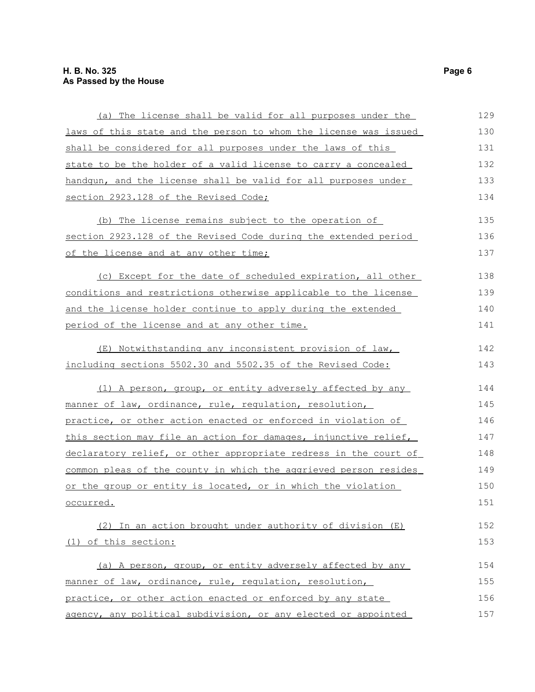| (a) The license shall be valid for all purposes under the        | 129 |
|------------------------------------------------------------------|-----|
| laws of this state and the person to whom the license was issued | 130 |
| shall be considered for all purposes under the laws of this      | 131 |
| state to be the holder of a valid license to carry a concealed   | 132 |
| handqun, and the license shall be valid for all purposes under   | 133 |
| section 2923.128 of the Revised Code;                            | 134 |
| (b) The license remains subject to the operation of              | 135 |
| section 2923.128 of the Revised Code during the extended period  | 136 |
| of the license and at any other time;                            | 137 |
| (c) Except for the date of scheduled expiration, all other       | 138 |
| conditions and restrictions otherwise applicable to the license  | 139 |
| and the license holder continue to apply during the extended     | 140 |
| period of the license and at any other time.                     | 141 |
| (E) Notwithstanding any inconsistent provision of law,           | 142 |
| including sections 5502.30 and 5502.35 of the Revised Code:      | 143 |
| (1) A person, group, or entity adversely affected by any         | 144 |
| manner of law, ordinance, rule, regulation, resolution,          | 145 |
| practice, or other action enacted or enforced in violation of    | 146 |
| this section may file an action for damages, injunctive relief,  | 147 |
| declaratory relief, or other appropriate redress in the court of | 148 |
| common pleas of the county in which the aggrieved person resides | 149 |
| or the group or entity is located, or in which the violation     | 150 |
| occurred.                                                        | 151 |
| (2) In an action brought under authority of division (E)         | 152 |
| (1) of this section:                                             | 153 |
| (a) A person, group, or entity adversely affected by any         | 154 |
| manner of law, ordinance, rule, regulation, resolution,          | 155 |
| practice, or other action enacted or enforced by any state       | 156 |
| agency, any political subdivision, or any elected or appointed   | 157 |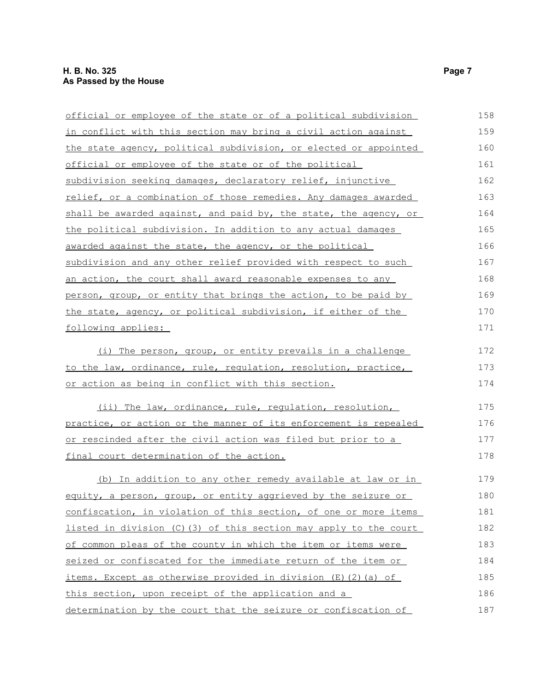| official or employee of the state or of a political subdivision     | 158 |
|---------------------------------------------------------------------|-----|
| in conflict with this section may bring a civil action against      | 159 |
| the state agency, political subdivision, or elected or appointed    | 160 |
| official or employee of the state or of the political               | 161 |
| subdivision seeking damages, declaratory relief, injunctive         | 162 |
| relief, or a combination of those remedies. Any damages awarded     | 163 |
| shall be awarded against, and paid by, the state, the agency, or    | 164 |
| the political subdivision. In addition to any actual damages        | 165 |
| awarded against the state, the agency, or the political             | 166 |
| subdivision and any other relief provided with respect to such      | 167 |
| an action, the court shall award reasonable expenses to any         | 168 |
| person, group, or entity that brings the action, to be paid by      | 169 |
| the state, agency, or political subdivision, if either of the       | 170 |
| following applies:                                                  | 171 |
| (i) The person, group, or entity prevails in a challenge            | 172 |
| to the law, ordinance, rule, regulation, resolution, practice,      | 173 |
| or action as being in conflict with this section.                   | 174 |
| (ii) The law, ordinance, rule, requlation, resolution,              | 175 |
| practice, or action or the manner of its enforcement is repealed    | 176 |
| <u>or rescinded after the civil action was filed but prior to a</u> | 177 |
| final court determination of the action.                            | 178 |
| (b) In addition to any other remedy available at law or in          | 179 |
| equity, a person, group, or entity aggrieved by the seizure or      | 180 |
| confiscation, in violation of this section, of one or more items    | 181 |
| listed in division (C)(3) of this section may apply to the court    | 182 |
| of common pleas of the county in which the item or items were       | 183 |
| seized or confiscated for the immediate return of the item or       | 184 |
| items. Except as otherwise provided in division (E)(2)(a) of        | 185 |
| this section, upon receipt of the application and a                 | 186 |
| determination by the court that the seizure or confiscation of      | 187 |